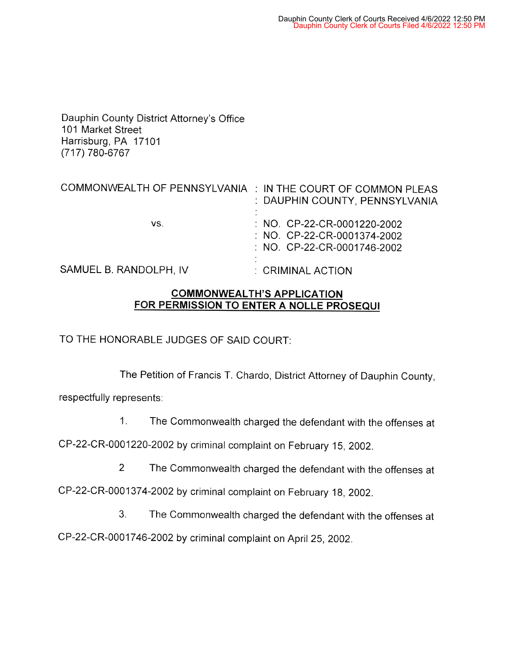Dauphin County District Attorney's Office 101 Market Street Harrisburg, PA 17101 (717) 780-6767

| COMMONWEALTH OF PENNSYLVANIA : IN THE COURT OF COMMON PLEAS | : DAUPHIN COUNTY, PENNSYLVANIA                                                                       |
|-------------------------------------------------------------|------------------------------------------------------------------------------------------------------|
| VS.                                                         | : NO. CP-22-CR-0001220-2002<br>$\therefore$ NO. CP-22-CR-0001374-2002<br>: NO. CP-22-CR-0001746-2002 |
| SAMUEL B. RANDOLPH, IV                                      | : CRIMINAL ACTION                                                                                    |

## **COMMONWEAL TH'S APPLICATION FOR PERMISSION TO ENTER A NOLLE PROSEQUI**

TO THE HONORABLE JUDGES OF SAID COURT:

The Petition of Francis T. Chardo, District Attorney of Dauphin County,

respectfully represents:

1. The Commonwealth charged the defendant with the offenses at

CP-22-CR-0001220-2002 by criminal complaint on February 15, 2002.

2 The Commonwealth charged the defendant with the offenses at

CP-22-CR-0001374-2002 by criminal complaint on February 18, 2002.

3. The Commonwealth charged the defendant with the offenses at

CP-22-CR-0001746-2002 by criminal complaint on April 25, 2002.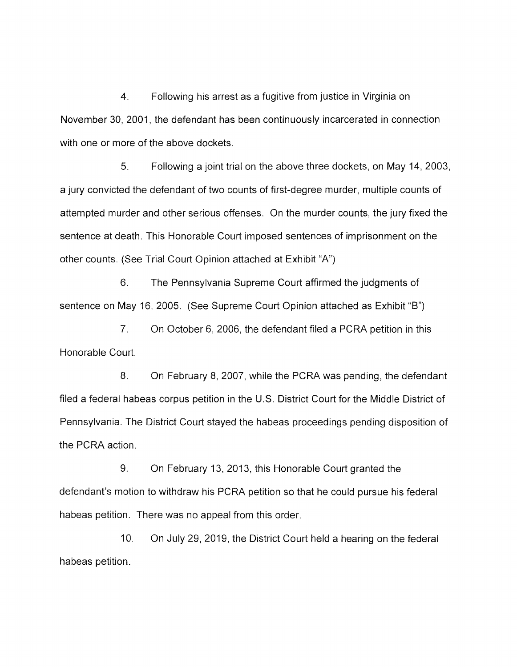4. Following his arrest as a fugitive from justice in Virginia on November 30, 2001, the defendant has been continuously incarcerated in connection with one or more of the above dockets.

5. Following a joint trial on the above three dockets, on May 14, 2003, a jury convicted the defendant of two counts of first-degree murder, multiple counts of attempted murder and other serious offenses. On the murder counts, the jury fixed the sentence at death. This Honorable Court imposed sentences of imprisonment on the other counts. (See Trial Court Opinion attached at Exhibit "A")

6. The Pennsylvania Supreme Court affirmed the judgments of sentence on May 16, 2005. (See Supreme Court Opinion attached as Exhibit "B")

7. On October 6, 2006, the defendant filed a PCRA petition in this Honorable Court.

8. On February 8, 2007, while the PCRA was pending, the defendant filed a federal habeas corpus petition in the U.S. District Court for the Middle District of Pennsylvania. The District Court stayed the habeas proceedings pending disposition of the PCRA action.

9. On February 13, 2013, this Honorable Court granted the defendant's motion to withdraw his PCRA petition so that he could pursue his federal habeas petition. There was no appeal from this order.

10. On July 29, 2019, the District Court held a hearing on the federal habeas petition.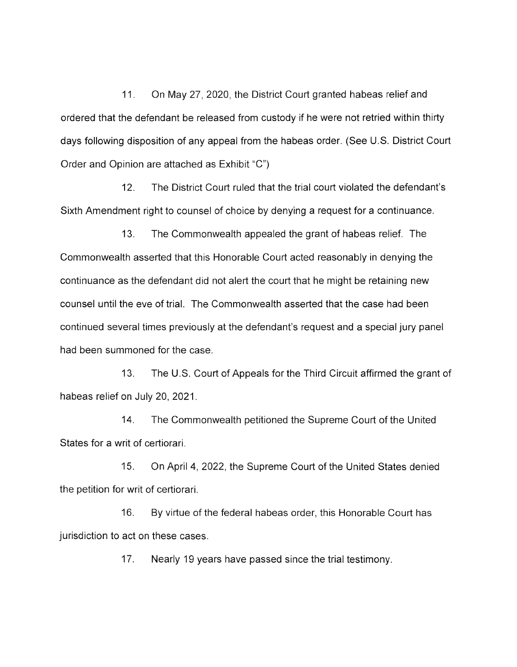11. On May 27, 2020, the District Court granted habeas relief and ordered that the defendant be released from custody if he were not retried within thirty days following disposition of any appeal from the habeas order. (See U.S. District Court Order and Opinion are attached as Exhibit "C")

12. The District Court ruled that the trial court violated the defendant's Sixth Amendment right to counsel of choice by denying a request for a continuance.

13. The Commonwealth appealed the grant of habeas relief. The Commonwealth asserted that this Honorable Court acted reasonably in denying the continuance as the defendant did not alert the court that he might be retaining new counsel until the eve of trial. The Commonwealth asserted that the case had been continued several times previously at the defendant's request and a special jury panel had been summoned for the case.

13. The U.S. Court of Appeals for the Third Circuit affirmed the grant of habeas relief on July 20, 2021.

14. The Commonwealth petitioned the Supreme Court of the United States for a writ of certiorari.

15. On April 4, 2022, the Supreme Court of the United States denied the petition for writ of certiorari.

16. By virtue of the federal habeas order, this Honorable Court has jurisdiction to act on these cases.

17. Nearly 19 years have passed since the trial testimony.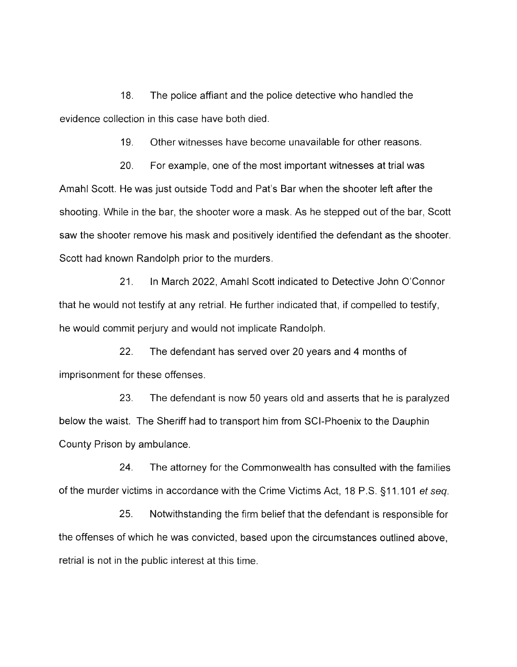18. The police affiant and the police detective who handled the evidence collection in this case have both died.

19. Other witnesses have become unavailable for other reasons.

20. For example, one of the most important witnesses at trial was Amahl Scott. He was just outside Todd and Pat's Bar when the shooter left after the shooting. While in the bar, the shooter wore a mask. As he stepped out of the bar, Scott saw the shooter remove his mask and positively identified the defendant as the shooter. Scott had known Randolph prior to the murders.

21. In March 2022, Amahl Scott indicated to Detective John O'Connor that he would not testify at any retrial. He further indicated that, if compelled to testify, he would commit perjury and would not implicate Randolph.

22. The defendant has served over 20 years and 4 months of imprisonment for these offenses.

23. The defendant is now 50 years old and asserts that he is paralyzed below the waist. The Sheriff had to transport him from SCI-Phoenix to the Dauphin County Prison by ambulance.

24. The attorney for the Commonwealth has consulted with the families of the murder victims in accordance with the Crime Victims Act, 18 P.S. §11.101 et seq.

25. Notwithstanding the firm belief that the defendant is responsible for the offenses of which he was convicted, based upon the circumstances outlined above, retrial is not in the public interest at this time.